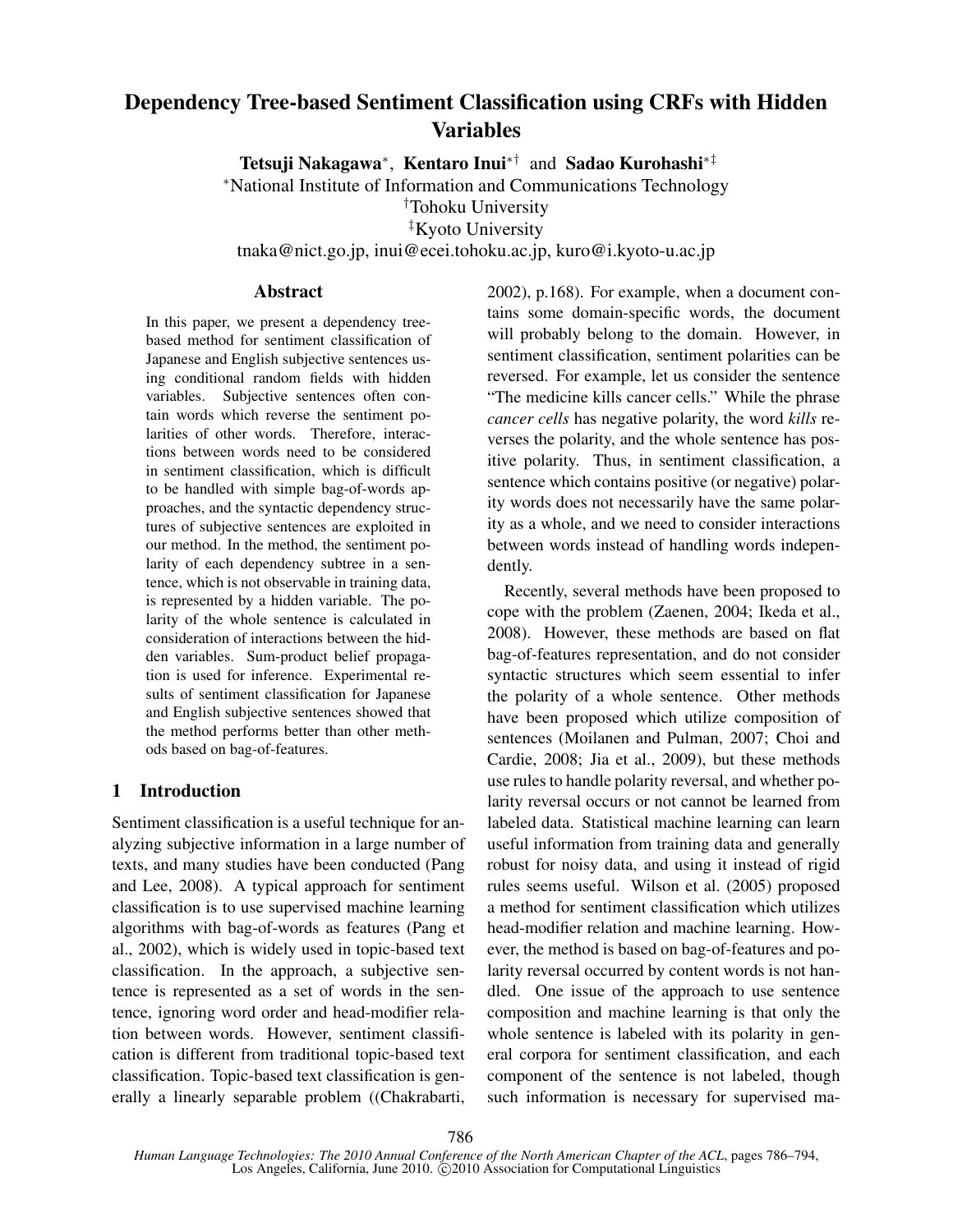# Dependency Tree-based Sentiment Classification using CRFs with Hidden Variables

Tetsuji Nakagawa*<sup>∗</sup>* , Kentaro Inui*∗†* and Sadao Kurohashi*∗‡*

*<sup>∗</sup>*National Institute of Information and Communications Technology

*†*Tohoku University

*‡*Kyoto University

tnaka@nict.go.jp, inui@ecei.tohoku.ac.jp, kuro@i.kyoto-u.ac.jp

#### Abstract

In this paper, we present a dependency treebased method for sentiment classification of Japanese and English subjective sentences using conditional random fields with hidden variables. Subjective sentences often contain words which reverse the sentiment polarities of other words. Therefore, interactions between words need to be considered in sentiment classification, which is difficult to be handled with simple bag-of-words approaches, and the syntactic dependency structures of subjective sentences are exploited in our method. In the method, the sentiment polarity of each dependency subtree in a sentence, which is not observable in training data, is represented by a hidden variable. The polarity of the whole sentence is calculated in consideration of interactions between the hidden variables. Sum-product belief propagation is used for inference. Experimental results of sentiment classification for Japanese and English subjective sentences showed that the method performs better than other methods based on bag-of-features.

## 1 Introduction

Sentiment classification is a useful technique for analyzing subjective information in a large number of texts, and many studies have been conducted (Pang and Lee, 2008). A typical approach for sentiment classification is to use supervised machine learning algorithms with bag-of-words as features (Pang et al., 2002), which is widely used in topic-based text classification. In the approach, a subjective sentence is represented as a set of words in the sentence, ignoring word order and head-modifier relation between words. However, sentiment classification is different from traditional topic-based text classification. Topic-based text classification is generally a linearly separable problem ((Chakrabarti, 2002), p.168). For example, when a document contains some domain-specific words, the document will probably belong to the domain. However, in sentiment classification, sentiment polarities can be reversed. For example, let us consider the sentence "The medicine kills cancer cells." While the phrase *cancer cells* has negative polarity, the word *kills* reverses the polarity, and the whole sentence has positive polarity. Thus, in sentiment classification, a sentence which contains positive (or negative) polarity words does not necessarily have the same polarity as a whole, and we need to consider interactions between words instead of handling words independently.

Recently, several methods have been proposed to cope with the problem (Zaenen, 2004; Ikeda et al., 2008). However, these methods are based on flat bag-of-features representation, and do not consider syntactic structures which seem essential to infer the polarity of a whole sentence. Other methods have been proposed which utilize composition of sentences (Moilanen and Pulman, 2007; Choi and Cardie, 2008; Jia et al., 2009), but these methods use rules to handle polarity reversal, and whether polarity reversal occurs or not cannot be learned from labeled data. Statistical machine learning can learn useful information from training data and generally robust for noisy data, and using it instead of rigid rules seems useful. Wilson et al. (2005) proposed a method for sentiment classification which utilizes head-modifier relation and machine learning. However, the method is based on bag-of-features and polarity reversal occurred by content words is not handled. One issue of the approach to use sentence composition and machine learning is that only the whole sentence is labeled with its polarity in general corpora for sentiment classification, and each component of the sentence is not labeled, though such information is necessary for supervised ma-

*Human Language Technologies: The 2010 Annual Conference of the North American Chapter of the ACL*, pages 786–794, Los Angeles, California, June 2010. C 2010 Association for Computational Linguistics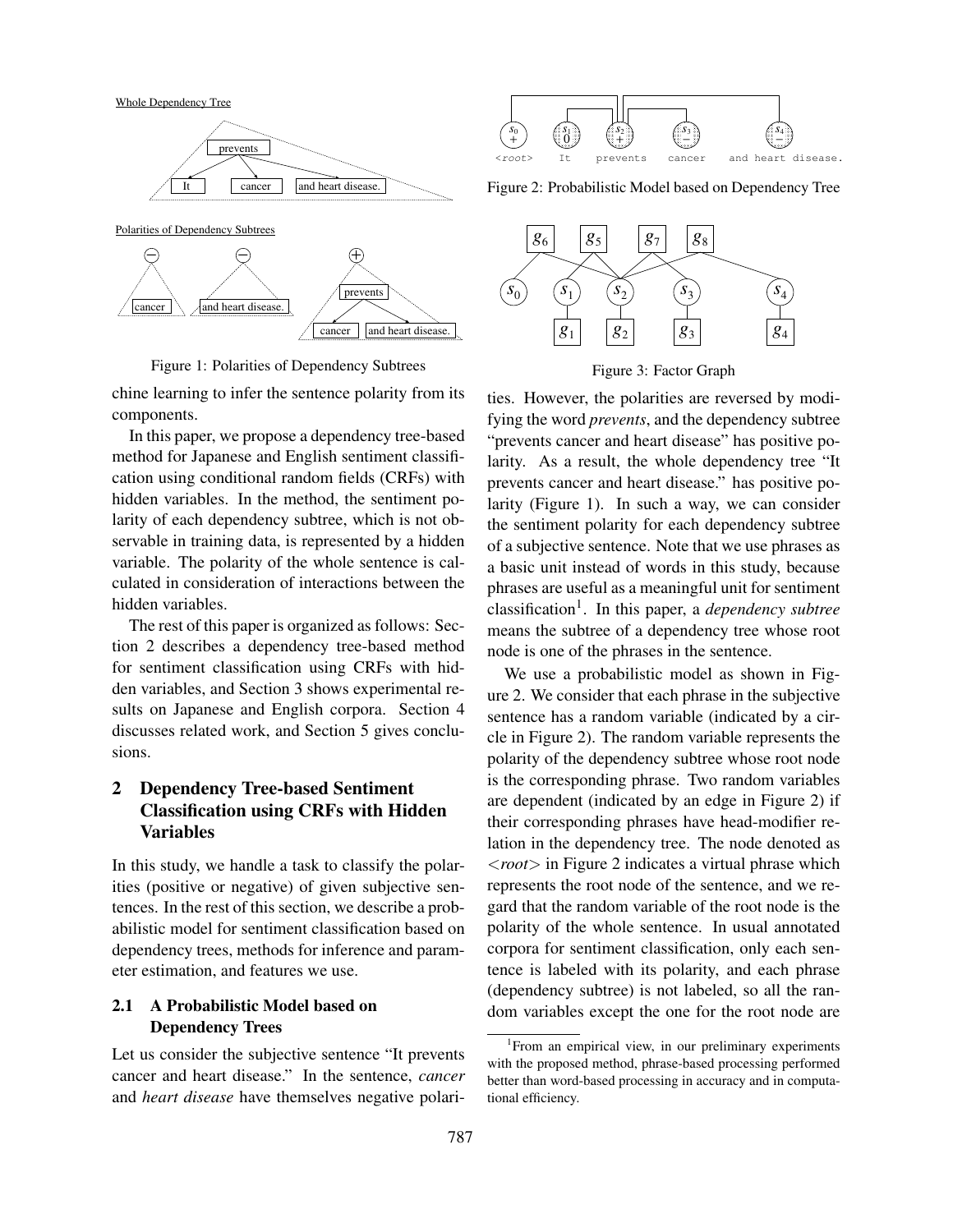Whole Dependency Tree



Polarities of Dependency Subtrees



Figure 1: Polarities of Dependency Subtrees

chine learning to infer the sentence polarity from its components.

In this paper, we propose a dependency tree-based method for Japanese and English sentiment classification using conditional random fields (CRFs) with hidden variables. In the method, the sentiment polarity of each dependency subtree, which is not observable in training data, is represented by a hidden variable. The polarity of the whole sentence is calculated in consideration of interactions between the hidden variables.

The rest of this paper is organized as follows: Section 2 describes a dependency tree-based method for sentiment classification using CRFs with hidden variables, and Section 3 shows experimental results on Japanese and English corpora. Section 4 discusses related work, and Section 5 gives conclusions.

# 2 Dependency Tree-based Sentiment Classification using CRFs with Hidden Variables

In this study, we handle a task to classify the polarities (positive or negative) of given subjective sentences. In the rest of this section, we describe a probabilistic model for sentiment classification based on dependency trees, methods for inference and parameter estimation, and features we use.

### 2.1 A Probabilistic Model based on Dependency Trees

Let us consider the subjective sentence "It prevents cancer and heart disease." In the sentence, *cancer* and *heart disease* have themselves negative polari-



Figure 2: Probabilistic Model based on Dependency Tree



Figure 3: Factor Graph

ties. However, the polarities are reversed by modifying the word *prevents*, and the dependency subtree "prevents cancer and heart disease" has positive polarity. As a result, the whole dependency tree "It prevents cancer and heart disease." has positive polarity (Figure 1). In such a way, we can consider the sentiment polarity for each dependency subtree of a subjective sentence. Note that we use phrases as a basic unit instead of words in this study, because phrases are useful as a meaningful unit for sentiment classification<sup>1</sup> . In this paper, a *dependency subtree* means the subtree of a dependency tree whose root node is one of the phrases in the sentence.

We use a probabilistic model as shown in Figure 2. We consider that each phrase in the subjective sentence has a random variable (indicated by a circle in Figure 2). The random variable represents the polarity of the dependency subtree whose root node is the corresponding phrase. Two random variables are dependent (indicated by an edge in Figure 2) if their corresponding phrases have head-modifier relation in the dependency tree. The node denoted as *<root>* in Figure 2 indicates a virtual phrase which represents the root node of the sentence, and we regard that the random variable of the root node is the polarity of the whole sentence. In usual annotated corpora for sentiment classification, only each sentence is labeled with its polarity, and each phrase (dependency subtree) is not labeled, so all the random variables except the one for the root node are

<sup>&</sup>lt;sup>1</sup> From an empirical view, in our preliminary experiments with the proposed method, phrase-based processing performed better than word-based processing in accuracy and in computational efficiency.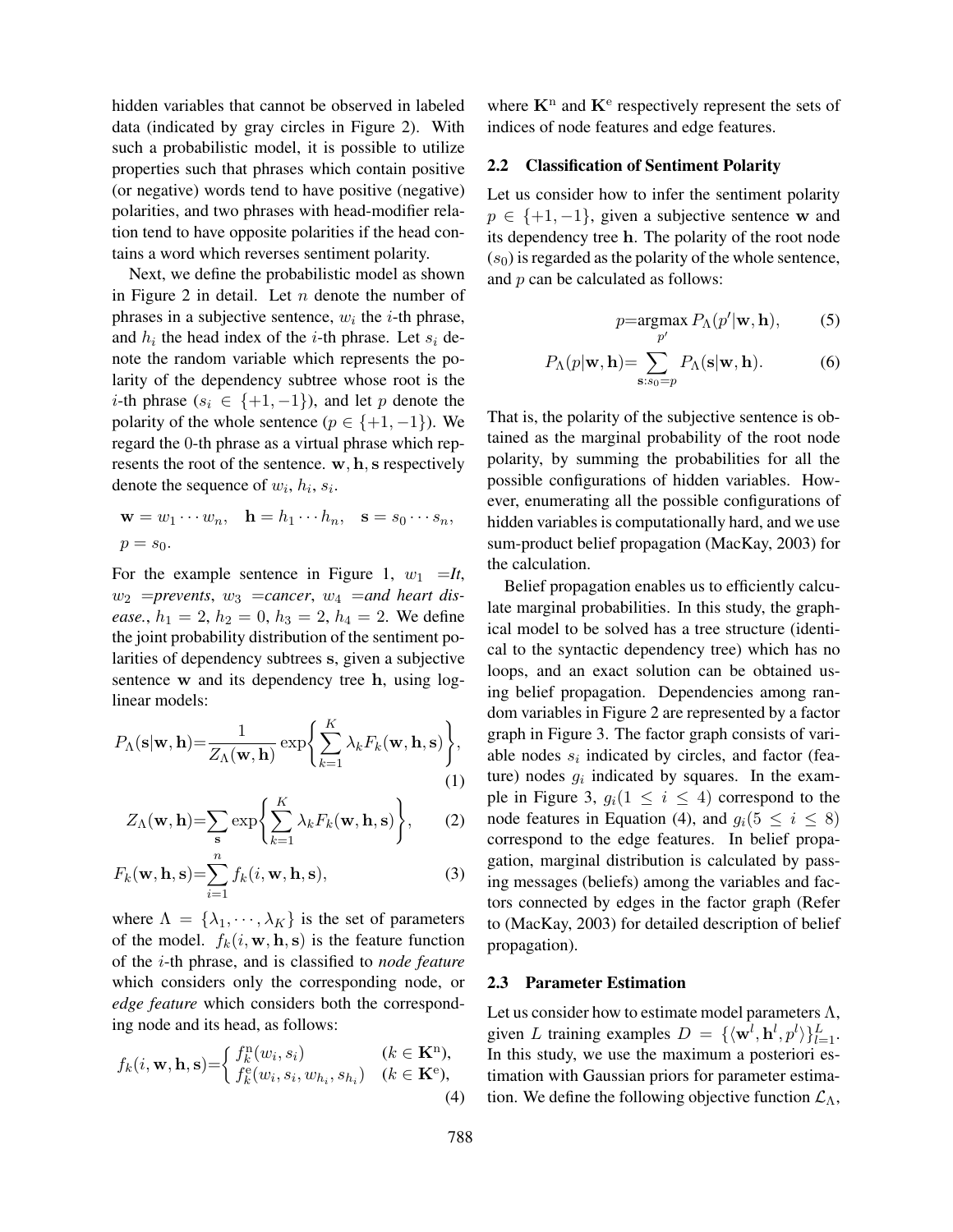hidden variables that cannot be observed in labeled data (indicated by gray circles in Figure 2). With such a probabilistic model, it is possible to utilize properties such that phrases which contain positive (or negative) words tend to have positive (negative) polarities, and two phrases with head-modifier relation tend to have opposite polarities if the head contains a word which reverses sentiment polarity.

Next, we define the probabilistic model as shown in Figure 2 in detail. Let *n* denote the number of phrases in a subjective sentence,  $w_i$  the *i*-th phrase, and  $h_i$  the head index of the *i*-th phrase. Let  $s_i$  denote the random variable which represents the polarity of the dependency subtree whose root is the *i*-th phrase ( $s_i \in \{+1, -1\}$ ), and let *p* denote the polarity of the whole sentence ( $p \in \{+1, -1\}$ ). We regard the 0-th phrase as a virtual phrase which represents the root of the sentence. **w***,* **h***,* **s** respectively denote the sequence of  $w_i$ ,  $h_i$ ,  $s_i$ .

$$
\mathbf{w} = w_1 \cdots w_n, \quad \mathbf{h} = h_1 \cdots h_n, \quad \mathbf{s} = s_0 \cdots s_n,
$$
  

$$
p = s_0.
$$

For the example sentence in Figure 1,  $w_1 = It$ ,  $w_2$  =prevents,  $w_3$  =cancer,  $w_4$  =and heart dis*ease.*,  $h_1 = 2$ ,  $h_2 = 0$ ,  $h_3 = 2$ ,  $h_4 = 2$ . We define the joint probability distribution of the sentiment polarities of dependency subtrees **s**, given a subjective sentence **w** and its dependency tree **h**, using loglinear models:

$$
P_{\Lambda}(\mathbf{s}|\mathbf{w}, \mathbf{h}) = \frac{1}{Z_{\Lambda}(\mathbf{w}, \mathbf{h})} \exp\left\{\sum_{k=1}^{K} \lambda_k F_k(\mathbf{w}, \mathbf{h}, \mathbf{s})\right\},\tag{1}
$$

$$
Z_{\Lambda}(\mathbf{w}, \mathbf{h}) = \sum_{\mathbf{s}} \exp \left\{ \sum_{k=1}^{K} \lambda_k F_k(\mathbf{w}, \mathbf{h}, \mathbf{s}) \right\}, \qquad (2)
$$

$$
F_k(\mathbf{w}, \mathbf{h}, \mathbf{s}) = \sum_{i=1}^n f_k(i, \mathbf{w}, \mathbf{h}, \mathbf{s}),
$$
 (3)

where  $\Lambda = {\lambda_1, \cdots, \lambda_K}$  is the set of parameters of the model.  $f_k(i, \mathbf{w}, \mathbf{h}, \mathbf{s})$  is the feature function of the *i*-th phrase, and is classified to *node feature* which considers only the corresponding node, or *edge feature* which considers both the corresponding node and its head, as follows:

$$
f_k(i, \mathbf{w}, \mathbf{h}, \mathbf{s}) = \begin{cases} f_k^n(w_i, s_i) & (k \in \mathbf{K}^n), \\ f_k^e(w_i, s_i, w_{h_i}, s_{h_i}) & (k \in \mathbf{K}^e), \\ 4 & \end{cases}
$$

where  $K<sup>n</sup>$  and  $K<sup>e</sup>$  respectively represent the sets of indices of node features and edge features.

#### 2.2 Classification of Sentiment Polarity

Let us consider how to infer the sentiment polarity *p ∈ {*+1*, −*1*}*, given a subjective sentence **w** and its dependency tree **h**. The polarity of the root node  $(s<sub>0</sub>)$  is regarded as the polarity of the whole sentence, and *p* can be calculated as follows:

$$
p = \underset{p'}{\operatorname{argmax}} P_{\Lambda}(p'|\mathbf{w}, \mathbf{h}), \quad (5)
$$

$$
P_{\Lambda}(p|\mathbf{w}, \mathbf{h}) = \sum_{\mathbf{s}: s_0 = p} P_{\Lambda}(\mathbf{s}|\mathbf{w}, \mathbf{h}).
$$
 (6)

That is, the polarity of the subjective sentence is obtained as the marginal probability of the root node polarity, by summing the probabilities for all the possible configurations of hidden variables. However, enumerating all the possible configurations of hidden variables is computationally hard, and we use sum-product belief propagation (MacKay, 2003) for the calculation.

Belief propagation enables us to efficiently calculate marginal probabilities. In this study, the graphical model to be solved has a tree structure (identical to the syntactic dependency tree) which has no loops, and an exact solution can be obtained using belief propagation. Dependencies among random variables in Figure 2 are represented by a factor graph in Figure 3. The factor graph consists of variable nodes  $s_i$  indicated by circles, and factor (feature) nodes  $g_i$  indicated by squares. In the example in Figure 3,  $g_i(1 \leq i \leq 4)$  correspond to the node features in Equation (4), and  $g_i(5 \leq i \leq 8)$ correspond to the edge features. In belief propagation, marginal distribution is calculated by passing messages (beliefs) among the variables and factors connected by edges in the factor graph (Refer to (MacKay, 2003) for detailed description of belief propagation).

#### 2.3 Parameter Estimation

Let us consider how to estimate model parameters  $\Lambda$ , given *L* training examples  $D = {\{\langle \mathbf{w}^l, \mathbf{h}^l, p^l \rangle\}}_{l=1}^L$ . In this study, we use the maximum a posteriori estimation with Gaussian priors for parameter estimation. We define the following objective function *L*Λ,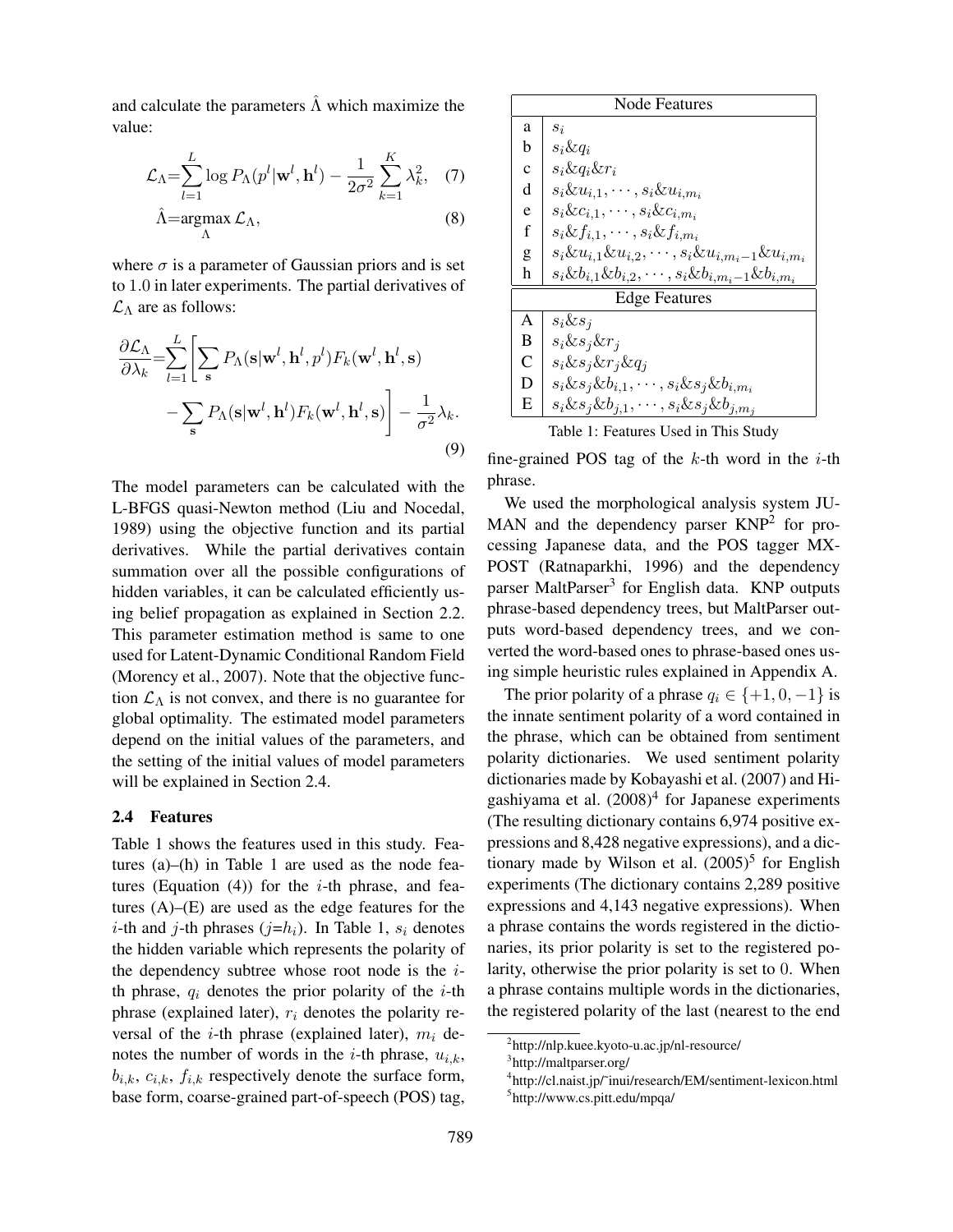and calculate the parameters  $\hat{\Lambda}$  which maximize the value:

$$
\mathcal{L}_{\Lambda} = \sum_{l=1}^{L} \log P_{\Lambda}(p^l | \mathbf{w}^l, \mathbf{h}^l) - \frac{1}{2\sigma^2} \sum_{k=1}^{K} \lambda_k^2, \quad (7)
$$

$$
\hat{\Lambda} = \underset{\Lambda}{\operatorname{argmax}} \mathcal{L}_{\Lambda},\tag{8}
$$

where  $\sigma$  is a parameter of Gaussian priors and is set to 1*.*0 in later experiments. The partial derivatives of *L*<sup>Λ</sup> are as follows:

$$
\frac{\partial \mathcal{L}_{\Lambda}}{\partial \lambda_{k}} = \sum_{l=1}^{L} \left[ \sum_{s} P_{\Lambda}(\mathbf{s}|\mathbf{w}^{l}, \mathbf{h}^{l}, p^{l}) F_{k}(\mathbf{w}^{l}, \mathbf{h}^{l}, \mathbf{s}) - \sum_{s} P_{\Lambda}(\mathbf{s}|\mathbf{w}^{l}, \mathbf{h}^{l}) F_{k}(\mathbf{w}^{l}, \mathbf{h}^{l}, \mathbf{s}) \right] - \frac{1}{\sigma^{2}} \lambda_{k}.
$$
\n(9)

The model parameters can be calculated with the L-BFGS quasi-Newton method (Liu and Nocedal, 1989) using the objective function and its partial derivatives. While the partial derivatives contain summation over all the possible configurations of hidden variables, it can be calculated efficiently using belief propagation as explained in Section 2.2. This parameter estimation method is same to one used for Latent-Dynamic Conditional Random Field (Morency et al., 2007). Note that the objective function  $\mathcal{L}_{\Lambda}$  is not convex, and there is no guarantee for global optimality. The estimated model parameters depend on the initial values of the parameters, and the setting of the initial values of model parameters will be explained in Section 2.4.

#### 2.4 Features

Table 1 shows the features used in this study. Features (a)–(h) in Table 1 are used as the node features (Equation (4)) for the *i*-th phrase, and features (A)–(E) are used as the edge features for the *i*-th and *j*-th phrases  $(j=h_i)$ . In Table 1,  $s_i$  denotes the hidden variable which represents the polarity of the dependency subtree whose root node is the *i*th phrase,  $q_i$  denotes the prior polarity of the  $i$ -th phrase (explained later), *r<sup>i</sup>* denotes the polarity reversal of the *i*-th phrase (explained later),  $m_i$  denotes the number of words in the *i*-th phrase,  $u_{i,k}$ ,  $b_{i,k}$ ,  $c_{i,k}$ ,  $f_{i,k}$  respectively denote the surface form, base form, coarse-grained part-of-speech (POS) tag,

| <b>Node Features</b> |                                                                      |  |  |  |  |
|----------------------|----------------------------------------------------------------------|--|--|--|--|
| a                    | $s_i$                                                                |  |  |  |  |
| b                    | $s_i \& q_i$                                                         |  |  |  |  |
| $\mathbf{c}$         | $s_i \& q_i \& r_i$                                                  |  |  |  |  |
| d                    | $s_i \& u_{i,1}, \cdots, s_i \& u_{i,m_i}$                           |  |  |  |  |
| e                    | $s_i \& c_{i,1}, \cdots, s_i \& c_{i,m_i}$                           |  |  |  |  |
| f                    | $s_i \& f_{i,1}, \cdots, s_i \& f_{i,m_i}$                           |  |  |  |  |
| g                    | $s_i \& u_{i,1} \& u_{i,2}, \cdots, s_i \& u_{i,m_i-1} \& u_{i,m_i}$ |  |  |  |  |
| h                    | $s_i \& b_{i,1} \& b_{i,2}, \cdots, s_i \& b_{i,m_i-1} \& b_{i,m_i}$ |  |  |  |  |
| <b>Edge Features</b> |                                                                      |  |  |  |  |
| A                    | $s_i \& s_j$                                                         |  |  |  |  |
| B                    | $s_i \& s_j \& r_j$                                                  |  |  |  |  |
| $\overline{C}$       | $s_i \& s_j \& r_j \& q_j$                                           |  |  |  |  |
| D                    | $s_i \& s_j \& b_{i,1}, \cdots, s_i \& s_j \& b_{i,m_i}$             |  |  |  |  |
| E                    | $s_i \& s_j \& b_{j,1}, \cdots, s_i \& s_j \& b_{j,m_j}$             |  |  |  |  |

Table 1: Features Used in This Study

fine-grained POS tag of the *k*-th word in the *i*-th phrase.

We used the morphological analysis system JU-MAN and the dependency parser  $KNP<sup>2</sup>$  for processing Japanese data, and the POS tagger MX-POST (Ratnaparkhi, 1996) and the dependency parser MaltParser<sup>3</sup> for English data. KNP outputs phrase-based dependency trees, but MaltParser outputs word-based dependency trees, and we converted the word-based ones to phrase-based ones using simple heuristic rules explained in Appendix A.

The prior polarity of a phrase  $q_i \in \{+1, 0, -1\}$  is the innate sentiment polarity of a word contained in the phrase, which can be obtained from sentiment polarity dictionaries. We used sentiment polarity dictionaries made by Kobayashi et al. (2007) and Higashiyama et al. (2008)<sup>4</sup> for Japanese experiments (The resulting dictionary contains 6,974 positive expressions and 8,428 negative expressions), and a dictionary made by Wilson et al.  $(2005)^5$  for English experiments (The dictionary contains 2,289 positive expressions and 4,143 negative expressions). When a phrase contains the words registered in the dictionaries, its prior polarity is set to the registered polarity, otherwise the prior polarity is set to 0. When a phrase contains multiple words in the dictionaries, the registered polarity of the last (nearest to the end

<sup>2</sup> http://nlp.kuee.kyoto-u.ac.jp/nl-resource/

<sup>&</sup>lt;sup>3</sup>http://maltparser.org/

<sup>4</sup> http://cl.naist.jp/˜inui/research/EM/sentiment-lexicon.html 5 http://www.cs.pitt.edu/mpqa/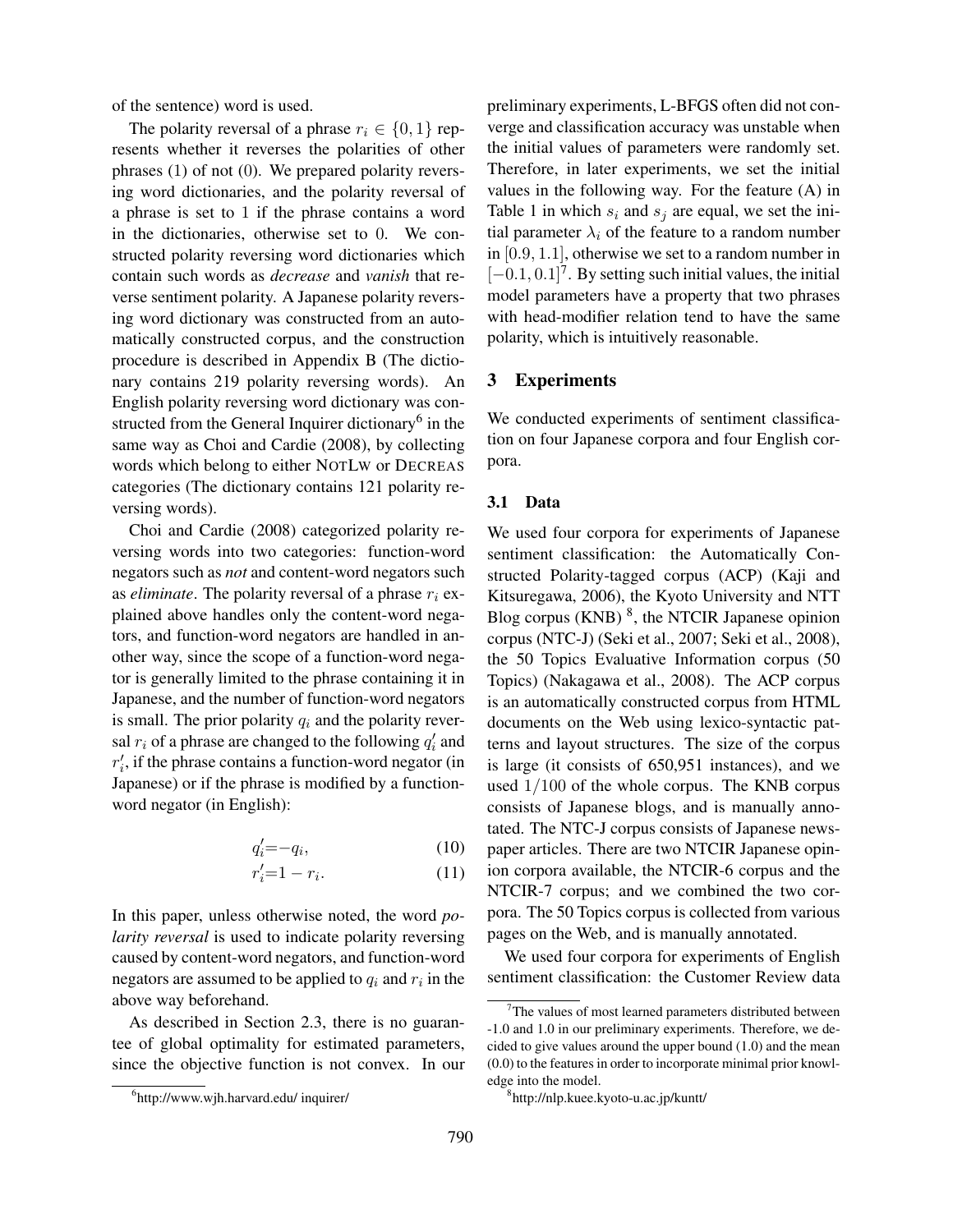of the sentence) word is used.

The polarity reversal of a phrase  $r_i \in \{0, 1\}$  represents whether it reverses the polarities of other phrases (1) of not (0). We prepared polarity reversing word dictionaries, and the polarity reversal of a phrase is set to 1 if the phrase contains a word in the dictionaries, otherwise set to 0. We constructed polarity reversing word dictionaries which contain such words as *decrease* and *vanish* that reverse sentiment polarity. A Japanese polarity reversing word dictionary was constructed from an automatically constructed corpus, and the construction procedure is described in Appendix B (The dictionary contains 219 polarity reversing words). An English polarity reversing word dictionary was constructed from the General Inquirer dictionary<sup>6</sup> in the same way as Choi and Cardie (2008), by collecting words which belong to either NOTLW or DECREAS categories (The dictionary contains 121 polarity reversing words).

Choi and Cardie (2008) categorized polarity reversing words into two categories: function-word negators such as *not* and content-word negators such as *eliminate*. The polarity reversal of a phrase *r<sup>i</sup>* explained above handles only the content-word negators, and function-word negators are handled in another way, since the scope of a function-word negator is generally limited to the phrase containing it in Japanese, and the number of function-word negators is small. The prior polarity  $q_i$  and the polarity reversal  $r_i$  of a phrase are changed to the following  $q'_i$  and  $r'_{i}$ , if the phrase contains a function-word negator (in Japanese) or if the phrase is modified by a functionword negator (in English):

$$
q_i' = -q_i,\tag{10}
$$

$$
r_i' = 1 - r_i. \tag{11}
$$

In this paper, unless otherwise noted, the word *polarity reversal* is used to indicate polarity reversing caused by content-word negators, and function-word negators are assumed to be applied to  $q_i$  and  $r_i$  in the above way beforehand.

As described in Section 2.3, there is no guarantee of global optimality for estimated parameters, since the objective function is not convex. In our preliminary experiments, L-BFGS often did not converge and classification accuracy was unstable when the initial values of parameters were randomly set. Therefore, in later experiments, we set the initial values in the following way. For the feature (A) in Table 1 in which  $s_i$  and  $s_j$  are equal, we set the initial parameter  $\lambda_i$  of the feature to a random number in [0*.*9*,* 1*.*1], otherwise we set to a random number in [*−*0*.*1*,* 0*.*1]<sup>7</sup> . By setting such initial values, the initial model parameters have a property that two phrases with head-modifier relation tend to have the same polarity, which is intuitively reasonable.

#### 3 Experiments

We conducted experiments of sentiment classification on four Japanese corpora and four English corpora.

#### 3.1 Data

We used four corpora for experiments of Japanese sentiment classification: the Automatically Constructed Polarity-tagged corpus (ACP) (Kaji and Kitsuregawa, 2006), the Kyoto University and NTT Blog corpus  $(KNB)^8$ , the NTCIR Japanese opinion corpus (NTC-J) (Seki et al., 2007; Seki et al., 2008), the 50 Topics Evaluative Information corpus (50 Topics) (Nakagawa et al., 2008). The ACP corpus is an automatically constructed corpus from HTML documents on the Web using lexico-syntactic patterns and layout structures. The size of the corpus is large (it consists of 650,951 instances), and we used 1*/*100 of the whole corpus. The KNB corpus consists of Japanese blogs, and is manually annotated. The NTC-J corpus consists of Japanese newspaper articles. There are two NTCIR Japanese opinion corpora available, the NTCIR-6 corpus and the NTCIR-7 corpus; and we combined the two corpora. The 50 Topics corpus is collected from various pages on the Web, and is manually annotated.

We used four corpora for experiments of English sentiment classification: the Customer Review data

<sup>6</sup> http://www.wjh.harvard.edu/ inquirer/

 $7$ The values of most learned parameters distributed between -1.0 and 1.0 in our preliminary experiments. Therefore, we decided to give values around the upper bound (1.0) and the mean (0.0) to the features in order to incorporate minimal prior knowledge into the model.

<sup>8</sup> http://nlp.kuee.kyoto-u.ac.jp/kuntt/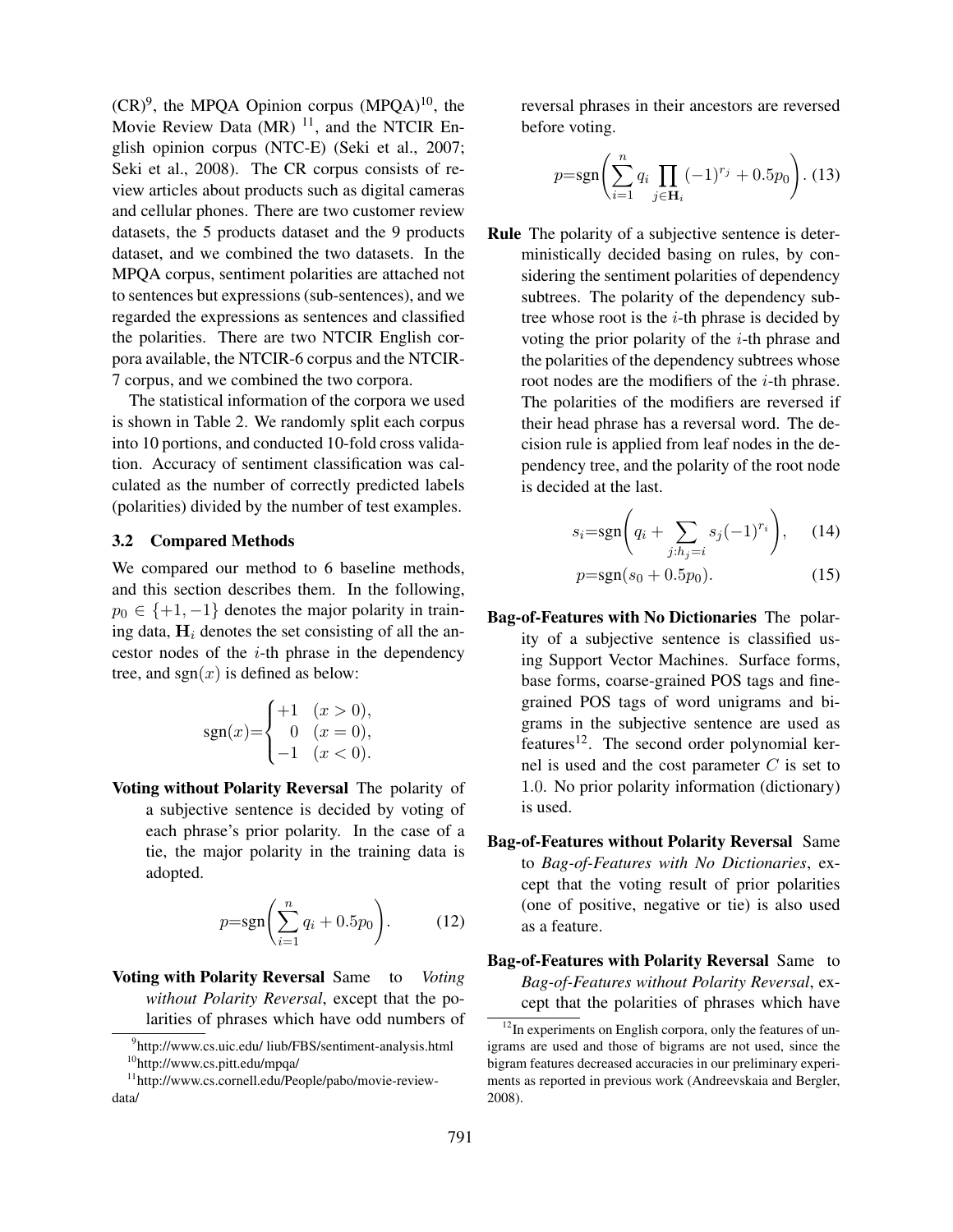$(CR)^9$ , the MPQA Opinion corpus  $(MPQA)^{10}$ , the Movie Review Data  $(MR)$ <sup>11</sup>, and the NTCIR English opinion corpus (NTC-E) (Seki et al., 2007; Seki et al., 2008). The CR corpus consists of review articles about products such as digital cameras and cellular phones. There are two customer review datasets, the 5 products dataset and the 9 products dataset, and we combined the two datasets. In the MPQA corpus, sentiment polarities are attached not to sentences but expressions (sub-sentences), and we regarded the expressions as sentences and classified the polarities. There are two NTCIR English corpora available, the NTCIR-6 corpus and the NTCIR-7 corpus, and we combined the two corpora.

The statistical information of the corpora we used is shown in Table 2. We randomly split each corpus into 10 portions, and conducted 10-fold cross validation. Accuracy of sentiment classification was calculated as the number of correctly predicted labels (polarities) divided by the number of test examples.

#### 3.2 Compared Methods

We compared our method to 6 baseline methods, and this section describes them. In the following,  $p_0 \in \{+1, -1\}$  denotes the major polarity in training data,  $H_i$  denotes the set consisting of all the ancestor nodes of the *i*-th phrase in the dependency tree, and  $sgn(x)$  is defined as below:

$$
sgn(x) = \begin{cases} +1 & (x > 0), \\ 0 & (x = 0), \\ -1 & (x < 0). \end{cases}
$$

Voting without Polarity Reversal The polarity of a subjective sentence is decided by voting of each phrase's prior polarity. In the case of a tie, the major polarity in the training data is adopted.

$$
p = sgn\left(\sum_{i=1}^{n} q_i + 0.5p_0\right).
$$
 (12)

Voting with Polarity Reversal Same to *Voting without Polarity Reversal*, except that the polarities of phrases which have odd numbers of reversal phrases in their ancestors are reversed before voting.

$$
p = sgn\left(\sum_{i=1}^{n} q_i \prod_{j \in \mathbf{H}_i} (-1)^{r_j} + 0.5p_0\right). (13)
$$

Rule The polarity of a subjective sentence is deterministically decided basing on rules, by considering the sentiment polarities of dependency subtrees. The polarity of the dependency subtree whose root is the *i*-th phrase is decided by voting the prior polarity of the *i*-th phrase and the polarities of the dependency subtrees whose root nodes are the modifiers of the *i*-th phrase. The polarities of the modifiers are reversed if their head phrase has a reversal word. The decision rule is applied from leaf nodes in the dependency tree, and the polarity of the root node is decided at the last.

$$
s_i = \operatorname{sgn}\left(q_i + \sum_{j:h_j=i} s_j (-1)^{r_i}\right), \quad (14)
$$

$$
p = sgn(s_0 + 0.5p_0). \tag{15}
$$

- Bag-of-Features with No Dictionaries The polarity of a subjective sentence is classified using Support Vector Machines. Surface forms, base forms, coarse-grained POS tags and finegrained POS tags of word unigrams and bigrams in the subjective sentence are used as features<sup>12</sup>. The second order polynomial kernel is used and the cost parameter *C* is set to 1*.*0. No prior polarity information (dictionary) is used.
- Bag-of-Features without Polarity Reversal Same to *Bag-of-Features with No Dictionaries*, except that the voting result of prior polarities (one of positive, negative or tie) is also used as a feature.

Bag-of-Features with Polarity Reversal Same to *Bag-of-Features without Polarity Reversal*, except that the polarities of phrases which have

<sup>&</sup>lt;sup>9</sup>http://www.cs.uic.edu/ liub/FBS/sentiment-analysis.html <sup>10</sup>http://www.cs.pitt.edu/mpqa/

<sup>11</sup>http://www.cs.cornell.edu/People/pabo/movie-reviewdata/

 $12$ In experiments on English corpora, only the features of unigrams are used and those of bigrams are not used, since the bigram features decreased accuracies in our preliminary experiments as reported in previous work (Andreevskaia and Bergler, 2008).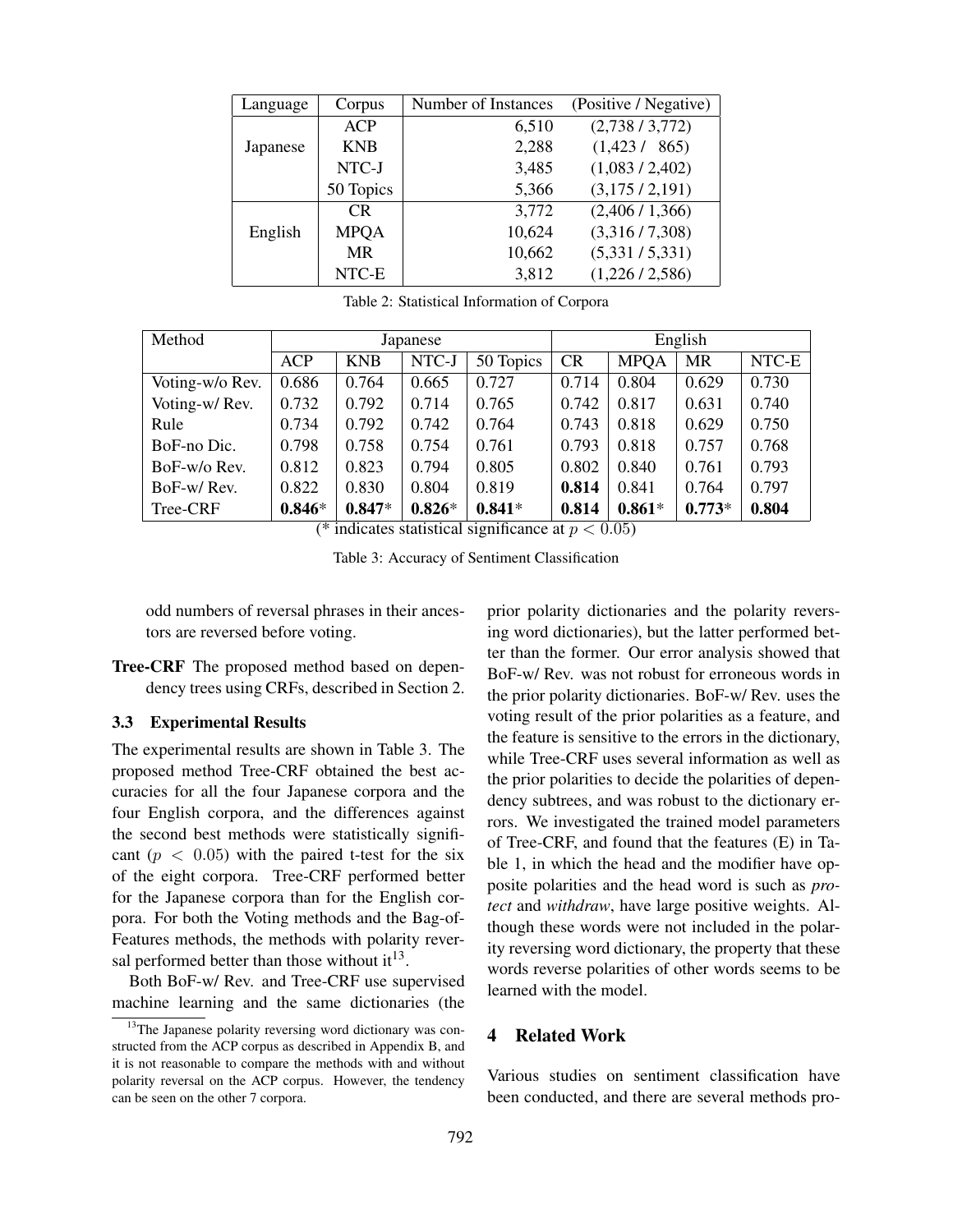| Language | Corpus      | Number of Instances | (Positive / Negative) |  |  |  |
|----------|-------------|---------------------|-----------------------|--|--|--|
|          | <b>ACP</b>  | 6,510               | (2,738/3,772)         |  |  |  |
| Japanese | <b>KNB</b>  | 2,288               | (1,423/865)           |  |  |  |
|          | NTC-J       | 3,485               | (1,083 / 2,402)       |  |  |  |
|          | 50 Topics   | 5,366               | (3,175/2,191)         |  |  |  |
|          | <b>CR</b>   | 3,772               | (2,406/1,366)         |  |  |  |
| English  | <b>MPQA</b> | 10,624              | (3,316/7,308)         |  |  |  |
|          | <b>MR</b>   | 10,662              | (5,331/5,331)         |  |  |  |
|          | NTC-E       | 3,812               | (1,226/2,586)         |  |  |  |

Table 2: Statistical Information of Corpora

| Method          | Japanese   |            |          |           | English |             |           |       |
|-----------------|------------|------------|----------|-----------|---------|-------------|-----------|-------|
|                 | <b>ACP</b> | <b>KNB</b> | NTC-J    | 50 Topics | CR      | <b>MPOA</b> | <b>MR</b> | NTC-E |
| Voting-w/o Rev. | 0.686      | 0.764      | 0.665    | 0.727     | 0.714   | 0.804       | 0.629     | 0.730 |
| Voting-w/Rev.   | 0.732      | 0.792      | 0.714    | 0.765     | 0.742   | 0.817       | 0.631     | 0.740 |
| Rule            | 0.734      | 0.792      | 0.742    | 0.764     | 0.743   | 0.818       | 0.629     | 0.750 |
| BoF-no Dic.     | 0.798      | 0.758      | 0.754    | 0.761     | 0.793   | 0.818       | 0.757     | 0.768 |
| BoF-w/o Rev.    | 0.812      | 0.823      | 0.794    | 0.805     | 0.802   | 0.840       | 0.761     | 0.793 |
| BoF-w/Rev.      | 0.822      | 0.830      | 0.804    | 0.819     | 0.814   | 0.841       | 0.764     | 0.797 |
| Tree-CRF        | $0.846*$   | $0.847*$   | $0.826*$ | $0.841*$  | 0.814   | $0.861*$    | $0.773*$  | 0.804 |

(\* indicates statistical significance at  $p < 0.05$ )

Table 3: Accuracy of Sentiment Classification

odd numbers of reversal phrases in their ancestors are reversed before voting.

Tree-CRF The proposed method based on dependency trees using CRFs, described in Section 2.

#### 3.3 Experimental Results

The experimental results are shown in Table 3. The proposed method Tree-CRF obtained the best accuracies for all the four Japanese corpora and the four English corpora, and the differences against the second best methods were statistically significant  $(p < 0.05)$  with the paired t-test for the six of the eight corpora. Tree-CRF performed better for the Japanese corpora than for the English corpora. For both the Voting methods and the Bag-of-Features methods, the methods with polarity reversal performed better than those without it<sup>13</sup>.

Both BoF-w/ Rev. and Tree-CRF use supervised machine learning and the same dictionaries (the prior polarity dictionaries and the polarity reversing word dictionaries), but the latter performed better than the former. Our error analysis showed that BoF-w/ Rev. was not robust for erroneous words in the prior polarity dictionaries. BoF-w/ Rev. uses the voting result of the prior polarities as a feature, and the feature is sensitive to the errors in the dictionary, while Tree-CRF uses several information as well as the prior polarities to decide the polarities of dependency subtrees, and was robust to the dictionary errors. We investigated the trained model parameters of Tree-CRF, and found that the features (E) in Table 1, in which the head and the modifier have opposite polarities and the head word is such as *protect* and *withdraw*, have large positive weights. Although these words were not included in the polarity reversing word dictionary, the property that these words reverse polarities of other words seems to be learned with the model.

## 4 Related Work

Various studies on sentiment classification have been conducted, and there are several methods pro-

<sup>&</sup>lt;sup>13</sup>The Japanese polarity reversing word dictionary was constructed from the ACP corpus as described in Appendix B, and it is not reasonable to compare the methods with and without polarity reversal on the ACP corpus. However, the tendency can be seen on the other 7 corpora.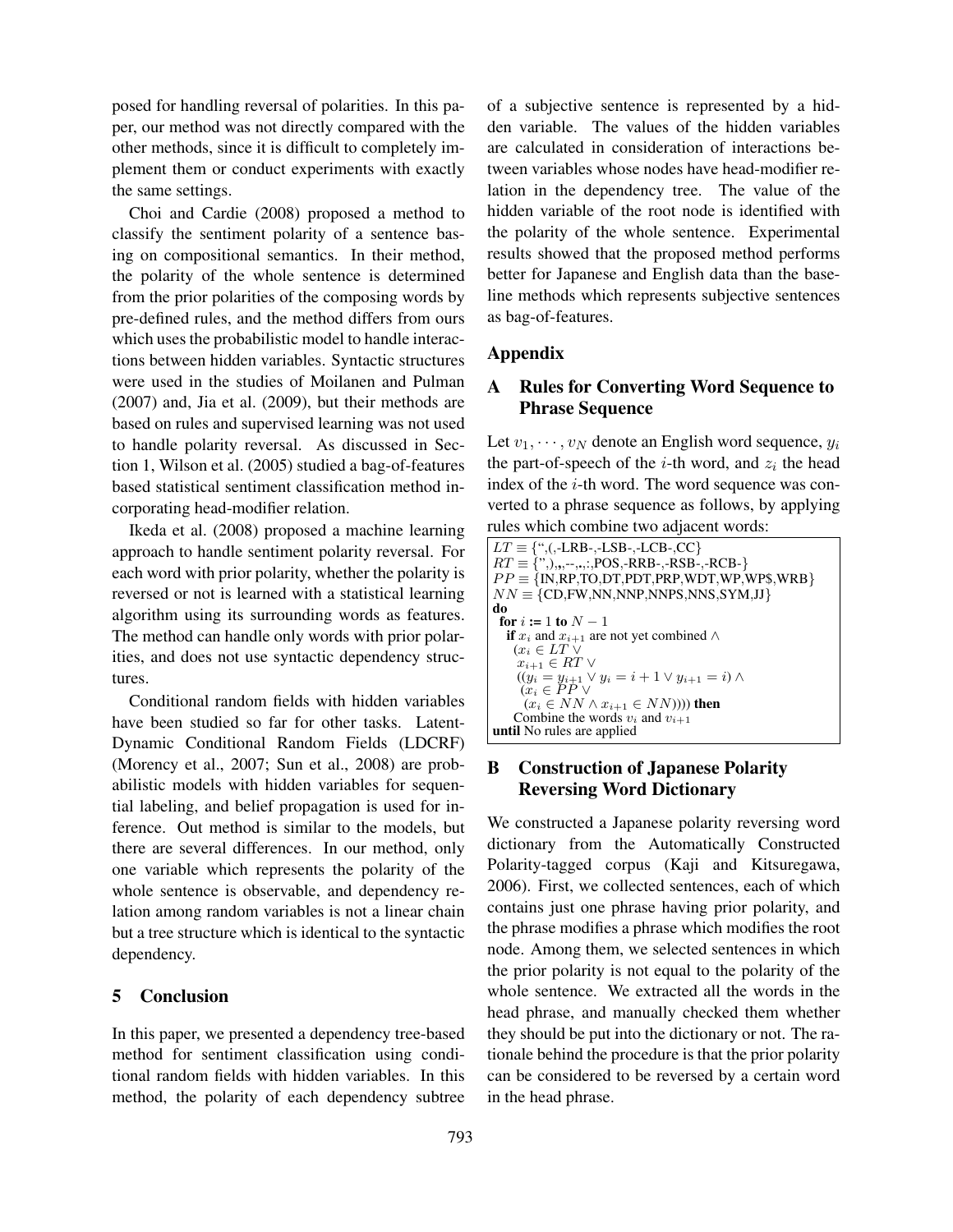posed for handling reversal of polarities. In this paper, our method was not directly compared with the other methods, since it is difficult to completely implement them or conduct experiments with exactly the same settings.

Choi and Cardie (2008) proposed a method to classify the sentiment polarity of a sentence basing on compositional semantics. In their method, the polarity of the whole sentence is determined from the prior polarities of the composing words by pre-defined rules, and the method differs from ours which uses the probabilistic model to handle interactions between hidden variables. Syntactic structures were used in the studies of Moilanen and Pulman (2007) and, Jia et al. (2009), but their methods are based on rules and supervised learning was not used to handle polarity reversal. As discussed in Section 1, Wilson et al. (2005) studied a bag-of-features based statistical sentiment classification method incorporating head-modifier relation.

Ikeda et al. (2008) proposed a machine learning approach to handle sentiment polarity reversal. For each word with prior polarity, whether the polarity is reversed or not is learned with a statistical learning algorithm using its surrounding words as features. The method can handle only words with prior polarities, and does not use syntactic dependency structures.

Conditional random fields with hidden variables have been studied so far for other tasks. Latent-Dynamic Conditional Random Fields (LDCRF) (Morency et al., 2007; Sun et al., 2008) are probabilistic models with hidden variables for sequential labeling, and belief propagation is used for inference. Out method is similar to the models, but there are several differences. In our method, only one variable which represents the polarity of the whole sentence is observable, and dependency relation among random variables is not a linear chain but a tree structure which is identical to the syntactic dependency.

## 5 Conclusion

In this paper, we presented a dependency tree-based method for sentiment classification using conditional random fields with hidden variables. In this method, the polarity of each dependency subtree

793

of a subjective sentence is represented by a hidden variable. The values of the hidden variables are calculated in consideration of interactions between variables whose nodes have head-modifier relation in the dependency tree. The value of the hidden variable of the root node is identified with the polarity of the whole sentence. Experimental results showed that the proposed method performs better for Japanese and English data than the baseline methods which represents subjective sentences as bag-of-features.

## Appendix

## A Rules for Converting Word Sequence to Phrase Sequence

Let  $v_1, \dots, v_N$  denote an English word sequence,  $y_i$ the part-of-speech of the  $i$ -th word, and  $z_i$  the head index of the *i*-th word. The word sequence was converted to a phrase sequence as follows, by applying rules which combine two adjacent words:

| $LT \equiv \{$ ",(,-LRB-,-LSB-,-LCB-,CC $\}$                |
|-------------------------------------------------------------|
| $RT \equiv \{",\},\dots,*,\}:POS,RRB-,-RSB-,-RCB-$          |
| $PP \equiv \{IN, RP, TO, DT, PDT, PRP, WDT, WP, WPS, WRB\}$ |
| $NN \equiv \{CD, FW, NN, NNP, NNPS, NNS, SYM, JJ\}$         |
| do                                                          |
| for $i := 1$ to $N - 1$                                     |
| if $x_i$ and $x_{i+1}$ are not yet combined $\wedge$        |
| $(x_i \in LT \vee$                                          |
| $x_{i+1} \in RT$                                            |
| $((y_i = y_{i+1} \vee y_i = i+1 \vee y_{i+1} = i) \wedge$   |
| $(x_i \in PP \vee$                                          |
| $(x_i \in NN \wedge x_{i+1} \in NN))$ ) then                |
| Combine the words $v_i$ and $v_{i+1}$                       |
| <b>until</b> No rules are applied                           |

# B Construction of Japanese Polarity Reversing Word Dictionary

We constructed a Japanese polarity reversing word dictionary from the Automatically Constructed Polarity-tagged corpus (Kaji and Kitsuregawa, 2006). First, we collected sentences, each of which contains just one phrase having prior polarity, and the phrase modifies a phrase which modifies the root node. Among them, we selected sentences in which the prior polarity is not equal to the polarity of the whole sentence. We extracted all the words in the head phrase, and manually checked them whether they should be put into the dictionary or not. The rationale behind the procedure is that the prior polarity can be considered to be reversed by a certain word in the head phrase.